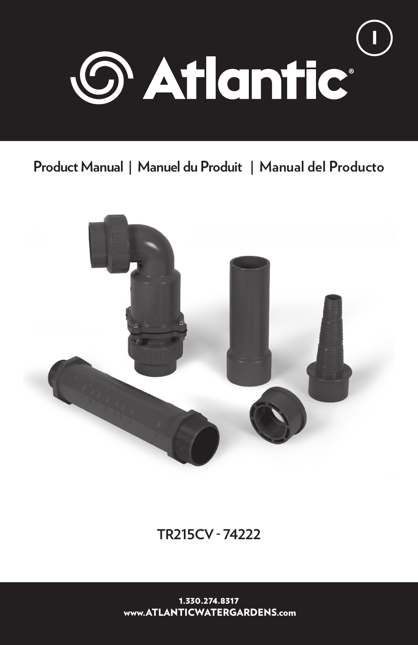

# **Product Manual | Manuel du Produit | Manual del Producto**



**TR215CV - 74222**

1.330.274.8317 www.ATLANTICWATERGARDENS.com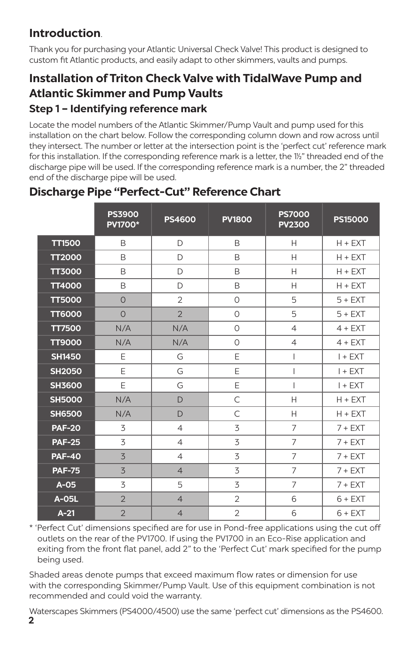# **Introduction**.

Thank you for purchasing your Atlantic Universal Check Valve! This product is designed to custom fit Atlantic products, and easily adapt to other skimmers, vaults and pumps.

# **Installation of Triton Check Valve with TidalWave Pump and Atlantic Skimmer and Pump Vaults Step 1 – Identifying reference mark**

Locate the model numbers of the Atlantic Skimmer/Pump Vault and pump used for this installation on the chart below. Follow the corresponding column down and row across until they intersect. The number or letter at the intersection point is the 'perfect cut' reference mark for this installation. If the corresponding reference mark is a letter, the 1½" threaded end of the discharge pipe will be used. If the corresponding reference mark is a number, the 2" threaded end of the discharge pipe will be used.

|               | <b>PS3900</b><br><b>PV1700*</b> | <b>PS4600</b>  | <b>PV1800</b>  | <b>PS7000</b><br><b>PV2300</b> | <b>PS15000</b> |
|---------------|---------------------------------|----------------|----------------|--------------------------------|----------------|
| <b>TT1500</b> | B                               | D              | B              | H                              | $H + EXT$      |
| <b>TT2000</b> | B                               | D              | B              | $\mathsf{H}$                   | $H + EXT$      |
| <b>TT3000</b> | B                               | D              | B              | H                              | $H + EXT$      |
| <b>TT4000</b> | B                               | D              | B              | Н                              | $H + EXT$      |
| <b>TT5000</b> | $\Omega$                        | $\overline{2}$ | $\Omega$       | 5                              | $5 + EXT$      |
| <b>TT6000</b> | $\Omega$                        | $\overline{2}$ | $\Omega$       | 5                              | $5 + EXT$      |
| <b>TT7500</b> | N/A                             | N/A            | $\circ$        | $\overline{4}$                 | $4 + EXT$      |
| <b>TT9000</b> | N/A                             | N/A            | $\Omega$       | $\overline{4}$                 | $4 + EXT$      |
| <b>SH1450</b> | E                               | G              | E              | I                              | $I + EXT$      |
| <b>SH2050</b> | E                               | G              | E              | T                              | $I + EXT$      |
| <b>SH3600</b> | E                               | G              | E              | I                              | $I + EXT$      |
| <b>SH5000</b> | N/A                             | D              | $\mathsf{C}$   | H                              | $H + EXT$      |
| <b>SH6500</b> | N/A                             | $\mathsf{D}$   | $\subset$      | Н                              | $H + EXT$      |
| <b>PAF-20</b> | 3                               | $\overline{4}$ | 3              | 7                              | $7 + EXT$      |
| <b>PAF-25</b> | 3                               | $\overline{4}$ | 3              | $\overline{7}$                 | $7 + EXT$      |
| <b>PAF-40</b> | 3                               | $\overline{4}$ | 3              | $\overline{7}$                 | $7 + EXT$      |
| <b>PAF-75</b> | 3                               | $\overline{4}$ | 3              | $\overline{7}$                 | $7 + EXT$      |
| $A-05$        | 3                               | 5              | 3              | $\overline{7}$                 | $7 + EXT$      |
| A-05L         | $\overline{2}$                  | $\overline{4}$ | $\overline{2}$ | 6                              | $6 + EXT$      |
| $A-21$        | $\overline{2}$                  | $\overline{4}$ | $\overline{2}$ | 6                              | $6 + EXT$      |

# **Discharge Pipe "Perfect-Cut" Reference Chart**

\* 'Perfect Cut' dimensions specified are for use in Pond-free applications using the cut off outlets on the rear of the PV1700. If using the PV1700 in an Eco-Rise application and exiting from the front flat panel, add 2" to the 'Perfect Cut' mark specified for the pump being used.

Shaded areas denote pumps that exceed maximum flow rates or dimension for use with the corresponding Skimmer/Pump Vault. Use of this equipment combination is not recommended and could void the warranty.

Waterscapes Skimmers (PS4000/4500) use the same 'perfect cut' dimensions as the PS4600.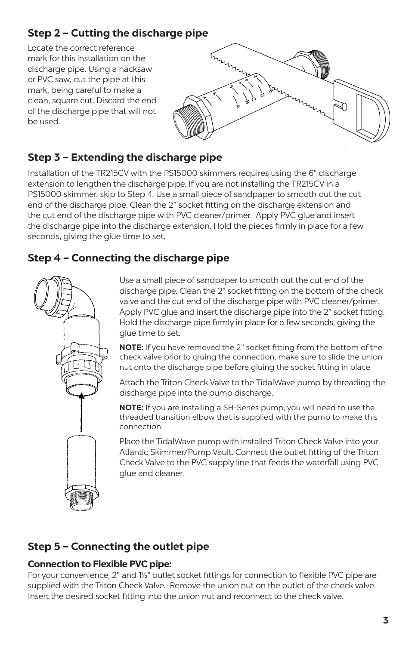# **Step 2 – Cutting the discharge pipe**

Locate the correct reference mark for this installation on the discharge pipe. Using a hacksaw or PVC saw, cut the pipe at this mark, being careful to make a clean, square cut. Discard the end of the discharge pipe that will not be used.



## **Step 3 – Extending the discharge pipe**

Installation of the TR215CV with the PS15000 skimmers requires using the 6" discharge extension to lengthen the discharge pipe. If you are not installing the TR215CV in a PS15000 skimmer, skip to Step 4. Use a small piece of sandpaper to smooth out the cut end of the discharge pipe. Clean the 2" socket fitting on the discharge extension and the cut end of the discharge pipe with PVC cleaner/primer. Apply PVC glue and insert the discharge pipe into the discharge extension. Hold the pieces firmly in place for a few seconds, giving the glue time to set.

### **Step 4 – Connecting the discharge pipe**



Use a small piece of sandpaper to smooth out the cut end of the discharge pipe. Clean the 2" socket fitting on the bottom of the check valve and the cut end of the discharge pipe with PVC cleaner/primer. Apply PVC glue and insert the discharge pipe into the 2" socket fitting. Hold the discharge pipe firmly in place for a few seconds, giving the glue time to set.

**NOTE:** If you have removed the 2" socket fitting from the bottom of the check valve prior to gluing the connection, make sure to slide the union nut onto the discharge pipe before gluing the socket fitting in place.

Attach the Triton Check Valve to the TidalWave pump by threading the discharge pipe into the pump discharge.

**NOTE:** If you are installing a SH-Series pump, you will need to use the threaded transition elbow that is supplied with the pump to make this connection.

Place the TidalWave pump with installed Triton Check Valve into your Atlantic Skimmer/Pump Vault. Connect the outlet fitting of the Triton Check Valve to the PVC supply line that feeds the waterfall using PVC glue and cleaner.

# **Step 5 – Connecting the outlet pipe**

#### **Connection to Flexible PVC pipe:**

For your convenience, 2" and 1½" outlet socket fittings for connection to flexible PVC pipe are supplied with the Triton Check Valve. Remove the union nut on the outlet of the check valve. Insert the desired socket fitting into the union nut and reconnect to the check valve.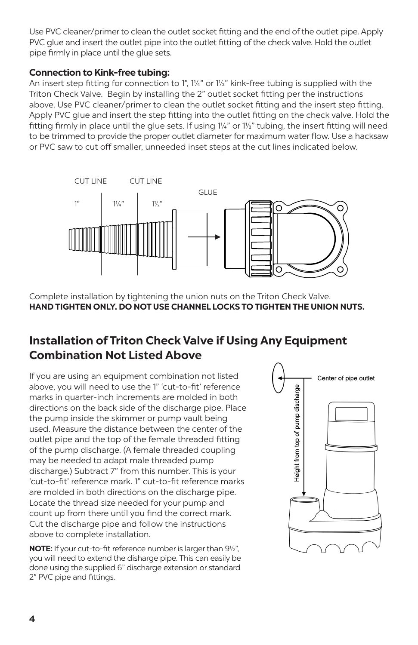Use PVC cleaner/primer to clean the outlet socket fitting and the end of the outlet pipe. Apply PVC glue and insert the outlet pipe into the outlet fitting of the check valve. Hold the outlet pipe firmly in place until the glue sets.

#### **Connection to Kink-free tubing:**

An insert step fitting for connection to 1", 1¼" or 1½" kink-free tubing is supplied with the Triton Check Valve. Begin by installing the 2" outlet socket fitting per the instructions above. Use PVC cleaner/primer to clean the outlet socket fitting and the insert step fitting. Apply PVC glue and insert the step fitting into the outlet fitting on the check valve. Hold the fitting firmly in place until the glue sets. If using 1¼" or 1½" tubing, the insert fitting will need to be trimmed to provide the proper outlet diameter for maximum water flow. Use a hacksaw or PVC saw to cut off smaller, unneeded inset steps at the cut lines indicated below.



Complete installation by tightening the union nuts on the Triton Check Valve. **HAND TIGHTEN ONLY. DO NOT USE CHANNEL LOCKS TO TIGHTEN THE UNION NUTS.** 

# **Installation of Triton Check Valve if Using Any Equipment Combination Not Listed Above**

If you are using an equipment combination not listed above, you will need to use the 1" 'cut-to-fit' reference marks in quarter-inch increments are molded in both directions on the back side of the discharge pipe. Place the pump inside the skimmer or pump vault being used. Measure the distance between the center of the outlet pipe and the top of the female threaded fitting of the pump discharge. (A female threaded coupling may be needed to adapt male threaded pump discharge.) Subtract 7" from this number. This is your 'cut-to-fit' reference mark. 1" cut-to-fit reference marks are molded in both directions on the discharge pipe. Locate the thread size needed for your pump and count up from there until you find the correct mark. Cut the discharge pipe and follow the instructions above to complete installation.

**NOTE:** If your cut-to-fit reference number is larger than 9½", you will need to extend the disharge pipe. This can easily be done using the supplied 6" discharge extension or standard 2" PVC pipe and fittings.

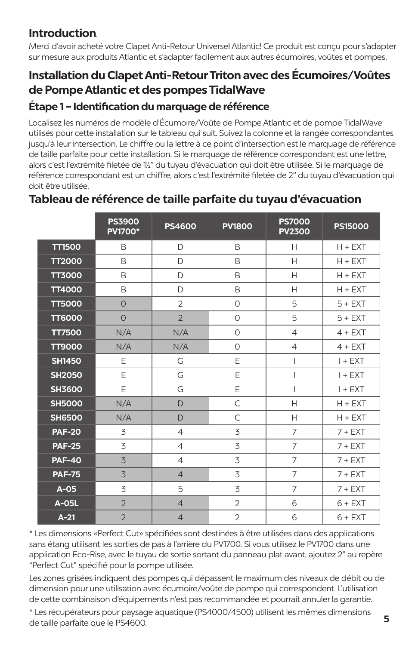# **Introduction**.

Merci d'avoir acheté votre Clapet Anti-Retour Universel Atlantic! Ce produit est conçu pour s'adapter sur mesure aux produits Atlantic et s'adapter facilement aux autres écumoires, voûtes et pompes.

# **Installation du Clapet Anti-Retour Triton avec des Écumoires/Voûtes de Pompe Atlantic et des pompes TidalWave**

### **Étape 1 – Identification du marquage de référence**

Localisez les numéros de modèle d'Écumoire/Voûte de Pompe Atlantic et de pompe TidalWave utilisés pour cette installation sur le tableau qui suit. Suivez la colonne et la rangée correspondantes jusqu'à leur intersection. Le chiffre ou la lettre à ce point d'intersection est le marquage de référence de taille parfaite pour cette installation. Si le marquage de référence correspondant est une lettre, alors c'est l'extrémité filetée de 11/2" du tuyau d'évacuation qui doit être utilisée. Si le marquage de référence correspondant est un chiffre, alors c'est l'extrémité filetée de 2" du tuyau d'évacuation qui doit être utilisée.

|               | <b>PS3900</b><br><b>PV1700*</b> | <b>PS4600</b>  | <b>PV1800</b>  | <b>PS7000</b><br><b>PV2300</b> | <b>PS15000</b> |
|---------------|---------------------------------|----------------|----------------|--------------------------------|----------------|
| <b>TT1500</b> | B                               | D              | B              | $\mathsf{H}$                   | $H + EXT$      |
| <b>TT2000</b> | B                               | D              | B              | $\overline{H}$                 | $H + EXT$      |
| <b>TT3000</b> | B                               | D              | B              | Н                              | $H + EXT$      |
| <b>TT4000</b> | B                               | D              | B              | $\mathsf{H}$                   | $H + EXT$      |
| <b>TT5000</b> | $\circ$                         | $\overline{2}$ | $\circ$        | 5                              | $5 + EXT$      |
| <b>TT6000</b> | $\Omega$                        | $\overline{2}$ | $\Omega$       | 5                              | $5 + EXT$      |
| <b>TT7500</b> | N/A                             | N/A            | $\circ$        | $\overline{4}$                 | $4 + EXT$      |
| <b>TT9000</b> | N/A                             | N/A            | $\circ$        | $\overline{4}$                 | $4 + EXT$      |
| <b>SH1450</b> | E                               | G              | E              | T                              | $I + EXT$      |
| <b>SH2050</b> | E                               | G              | E              | $\overline{1}$                 | $I + EXT$      |
| <b>SH3600</b> | E                               | G              | E              | T                              | $I + EXT$      |
| <b>SH5000</b> | N/A                             | D              | C              | H                              | $H + EXT$      |
| <b>SH6500</b> | N/A                             | D              | $\subset$      | $\mathsf{H}$                   | $H + EXT$      |
| <b>PAF-20</b> | 3                               | $\overline{4}$ | 3              | $\overline{7}$                 | $7 + EXT$      |
| <b>PAF-25</b> | 3                               | $\overline{4}$ | 3              | $\overline{7}$                 | $7 + EXT$      |
| <b>PAF-40</b> | 3                               | $\overline{4}$ | 3              | 7                              | $7 + EXT$      |
| <b>PAF-75</b> | 3                               | $\overline{4}$ | 3              | $\overline{7}$                 | $7 + EXT$      |
| $A-05$        | 3                               | 5              | 3              | 7                              | $7 + EXT$      |
| A-05L         | $\overline{2}$                  | $\overline{4}$ | $\overline{2}$ | 6                              | $6 + EXT$      |
| $A-21$        | $\overline{2}$                  | $\overline{4}$ | $\overline{2}$ | 6                              | $6 + EXT$      |

## **Tableau de référence de taille parfaite du tuyau d'évacuation**

\* Les dimensions «Perfect Cut» spécifiées sont destinées à être utilisées dans des applications sans étang utilisant les sorties de pas à l'arrière du PV1700. Si vous utilisez le PV1700 dans une application Eco-Rise, avec le tuyau de sortie sortant du panneau plat avant, ajoutez 2" au repère "Perfect Cut" spécifié pour la pompe utilisée.

Les zones grisées indiquent des pompes qui dépassent le maximum des niveaux de débit ou de dimension pour une utilisation avec écumoire/voûte de pompe qui correspondent. L'utilisation de cette combinaison d'équipements n'est pas recommandée et pourrait annuler la garantie.

\* Les récupérateurs pour paysage aquatique (PS4000/4500) utilisent les mêmes dimensions de taille parfaite que le PS4600.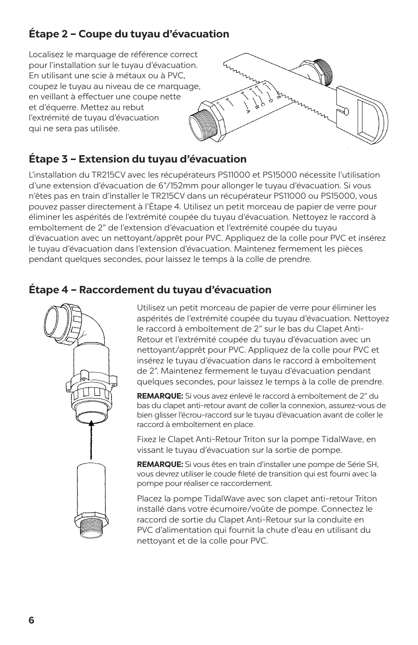# **Étape 2 – Coupe du tuyau d'évacuation**

Localisez le marquage de référence correct pour l'installation sur le tuyau d'évacuation. En utilisant une scie à métaux ou à PVC, coupez le tuyau au niveau de ce marquage, en veillant à effectuer une coupe nette et d'équerre. Mettez au rebut l'extrémité de tuyau d'évacuation qui ne sera pas utilisée.



# **Étape 3 – Extension du tuyau d'évacuation**

L'installation du TR215CV avec les récupérateurs PS11000 et PS15000 nécessite l'utilisation d'une extension d'évacuation de 6"/152mm pour allonger le tuyau d'évacuation. Si vous n'êtes pas en train d'installer le TR215CV dans un récupérateur PS11000 ou PS15000, vous pouvez passer directement à l'Étape 4. Utilisez un petit morceau de papier de verre pour éliminer les aspérités de l'extrémité coupée du tuyau d'évacuation. Nettoyez le raccord à emboîtement de 2" de l'extension d'évacuation et l'extrémité coupée du tuyau d'évacuation avec un nettoyant/apprêt pour PVC. Appliquez de la colle pour PVC et insérez le tuyau d'évacuation dans l'extension d'évacuation. Maintenez fermement les pièces pendant quelques secondes, pour laissez le temps à la colle de prendre.

## **Étape 4 – Raccordement du tuyau d'évacuation**



Utilisez un petit morceau de papier de verre pour éliminer les aspérités de l'extrémité coupée du tuyau d'évacuation. Nettoyez le raccord à emboîtement de 2" sur le bas du Clapet Anti-Retour et l'extrémité coupée du tuyau d'évacuation avec un nettoyant/apprêt pour PVC. Appliquez de la colle pour PVC et insérez le tuyau d'évacuation dans le raccord à emboîtement de 2". Maintenez fermement le tuyau d'évacuation pendant quelques secondes, pour laissez le temps à la colle de prendre.

**REMARQUE:** Si vous avez enlevé le raccord à emboîtement de 2" du bas du clapet anti-retour avant de coller la connexion, assurez-vous de bien glisser l'écrou-raccord sur le tuyau d'évacuation avant de coller le raccord à emboîtement en place.

Fixez le Clapet Anti-Retour Triton sur la pompe TidalWave, en vissant le tuyau d'évacuation sur la sortie de pompe.

**REMARQUE:** Si vous êtes en train d'installer une pompe de Série SH, vous devrez utiliser le coude fileté de transition qui est fourni avec la pompe pour réaliser ce raccordement.

Placez la pompe TidalWave avec son clapet anti-retour Triton installé dans votre écumoire/voûte de pompe. Connectez le raccord de sortie du Clapet Anti-Retour sur la conduite en PVC d'alimentation qui fournit la chute d'eau en utilisant du nettoyant et de la colle pour PVC.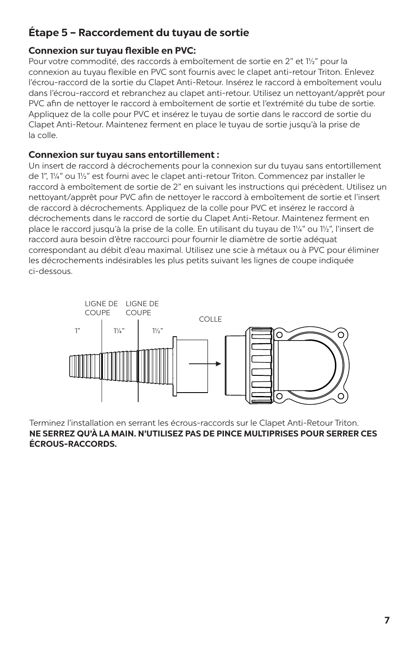### **Étape 5 – Raccordement du tuyau de sortie**

#### **Connexion sur tuyau flexible en PVC:**

Pour votre commodité, des raccords à emboîtement de sortie en 2" et 1½" pour la connexion au tuyau flexible en PVC sont fournis avec le clapet anti-retour Triton. Enlevez l'écrou-raccord de la sortie du Clapet Anti-Retour. Insérez le raccord à emboîtement voulu dans l'écrou-raccord et rebranchez au clapet anti-retour. Utilisez un nettoyant/apprêt pour PVC afin de nettoyer le raccord à emboîtement de sortie et l'extrémité du tube de sortie. Appliquez de la colle pour PVC et insérez le tuyau de sortie dans le raccord de sortie du Clapet Anti-Retour. Maintenez ferment en place le tuyau de sortie jusqu'à la prise de la colle.

#### **Connexion sur tuyau sans entortillement :**

Un insert de raccord à décrochements pour la connexion sur du tuyau sans entortillement de 1", 1¼" ou 1½" est fourni avec le clapet anti-retour Triton. Commencez par installer le raccord à emboîtement de sortie de 2" en suivant les instructions qui précèdent. Utilisez un nettoyant/apprêt pour PVC afin de nettoyer le raccord à emboîtement de sortie et l'insert de raccord à décrochements. Appliquez de la colle pour PVC et insérez le raccord à décrochements dans le raccord de sortie du Clapet Anti-Retour. Maintenez ferment en place le raccord jusqu'à la prise de la colle. En utilisant du tuyau de 1¼" ou 1½", l'insert de raccord aura besoin d'être raccourci pour fournir le diamètre de sortie adéquat correspondant au débit d'eau maximal. Utilisez une scie à métaux ou à PVC pour éliminer les décrochements indésirables les plus petits suivant les lignes de coupe indiquée ci-dessous.



Terminez l'installation en serrant les écrous-raccords sur le Clapet Anti-Retour Triton. **NE SERREZ QU'À LA MAIN. N'UTILISEZ PAS DE PINCE MULTIPRISES POUR SERRER CES ÉCROUS-RACCORDS.**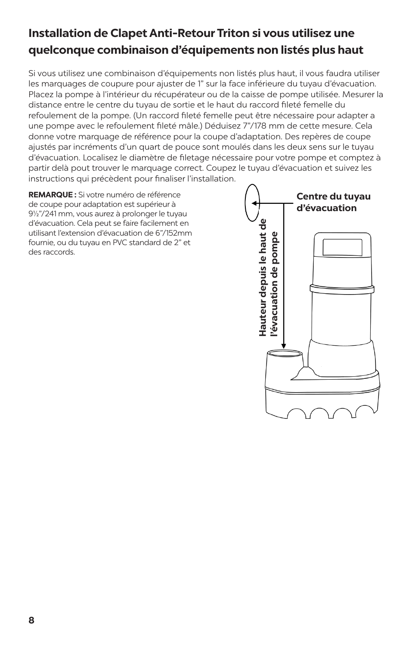# **Installation de Clapet Anti-Retour Triton si vous utilisez une quelconque combinaison d'équipements non listés plus haut**

Si vous utilisez une combinaison d'équipements non listés plus haut, il vous faudra utiliser les marquages de coupure pour ajuster de 1" sur la face inférieure du tuyau d'évacuation. Placez la pompe à l'intérieur du récupérateur ou de la caisse de pompe utilisée. Mesurer la distance entre le centre du tuyau de sortie et le haut du raccord fileté femelle du refoulement de la pompe. (Un raccord fileté femelle peut être nécessaire pour adapter a une pompe avec le refoulement fileté mâle.) Déduisez 7"/178 mm de cette mesure. Cela donne votre marquage de référence pour la coupe d'adaptation. Des repères de coupe ajustés par incréments d'un quart de pouce sont moulés dans les deux sens sur le tuyau d'évacuation. Localisez le diamètre de filetage nécessaire pour votre pompe et comptez à partir delà pout trouver le marquage correct. Coupez le tuyau d'évacuation et suivez les instructions qui précèdent pour finaliser l'installation.

**REMARQUE :** Si votre numéro de référence de coupe pour adaptation est supérieur à 9½"/241 mm, vous aurez à prolonger le tuyau d'évacuation. Cela peut se faire facilement en utilisant l'extension d'évacuation de 6"/152mm fournie, ou du tuyau en PVC standard de 2" et des raccords.

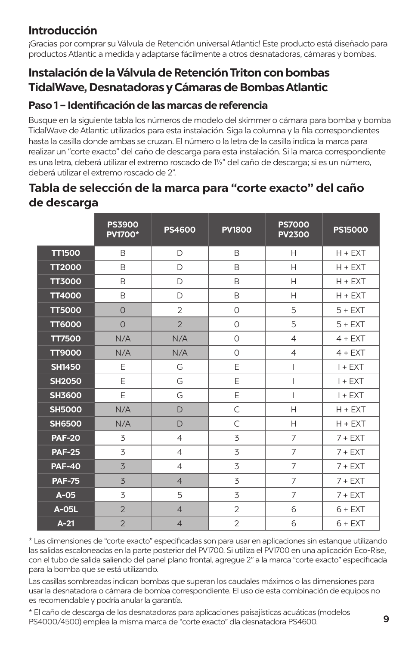# **Introducción**

¡Gracias por comprar su Válvula de Retención universal Atlantic! Este producto está diseñado para productos Atlantic a medida y adaptarse fácilmente a otros desnatadoras, cámaras y bombas.

# **Instalación de la Válvula de Retención Triton con bombas TidalWave, Desnatadoras y Cámaras de Bombas Atlantic**

### **Paso 1 – Identificación de las marcas de referencia**

Busque en la siguiente tabla los números de modelo del skimmer o cámara para bomba y bomba TidalWave de Atlantic utilizados para esta instalación. Siga la columna y la fila correspondientes hasta la casilla donde ambas se cruzan. El número o la letra de la casilla indica la marca para realizar un "corte exacto" del caño de descarga para esta instalación. Si la marca correspondiente es una letra, deberá utilizar el extremo roscado de 1½" del caño de descarga; si es un número, deberá utilizar el extremo roscado de 2".

# **Tabla de selección de la marca para "corte exacto" del caño de descarga**

|               | <b>PS3900</b><br><b>PV1700*</b> | <b>PS4600</b>  | <b>PV1800</b>  | <b>PS7000</b><br><b>PV2300</b> | <b>PS15000</b> |
|---------------|---------------------------------|----------------|----------------|--------------------------------|----------------|
| <b>TT1500</b> | B                               | D              | B              | Н                              | $H + EXT$      |
| <b>TT2000</b> | B                               | $\Box$         | <sub>R</sub>   | H                              | $H + EXT$      |
| <b>TT3000</b> | B                               | D              | B              | H                              | $H + EXT$      |
| <b>TT4000</b> | B                               | D              | B              | H                              | $H + EXT$      |
| <b>TT5000</b> | $\Omega$                        | $\overline{2}$ | $\Omega$       | 5                              | $5 + EXT$      |
| <b>TT6000</b> | $\Omega$                        | $\overline{2}$ | $\Omega$       | 5                              | $5 + EXT$      |
| <b>TT7500</b> | N/A                             | N/A            | $\Omega$       | $\overline{4}$                 | $4 + EXT$      |
| <b>TT9000</b> | N/A                             | N/A            | $\Omega$       | $\overline{4}$                 | $4 + EXT$      |
| <b>SH1450</b> | E                               | G              | E              | $\overline{1}$                 | $I + EXT$      |
| <b>SH2050</b> | E                               | G              | E              | $\overline{1}$                 | $I + EXT$      |
| <b>SH3600</b> | E                               | G              | E              | $\overline{1}$                 | $I + EXT$      |
| <b>SH5000</b> | N/A                             | D              | C              | H                              | $H + EXT$      |
| <b>SH6500</b> | N/A                             | D              | C              | H                              | $H + EXT$      |
| <b>PAF-20</b> | 3                               | $\overline{4}$ | 3              | $\overline{7}$                 | $7 + EXT$      |
| <b>PAF-25</b> | 3                               | $\overline{4}$ | 3              | 7                              | $7 + EXT$      |
| <b>PAF-40</b> | 3                               | $\overline{4}$ | 3              | $\overline{7}$                 | $7 + EXT$      |
| <b>PAF-75</b> | 3                               | $\overline{4}$ | 3              | 7                              | $7 + EXT$      |
| $A-05$        | 3                               | 5              | 3              | 7                              | $7 + EXT$      |
| A-05L         | $\overline{2}$                  | $\overline{4}$ | $\overline{2}$ | 6                              | $6 + EXT$      |
| $A-21$        | $\overline{2}$                  | $\overline{4}$ | $\overline{2}$ | 6                              | $6 + EXT$      |

\* Las dimensiones de "corte exacto" especificadas son para usar en aplicaciones sin estanque utilizando las salidas escaloneadas en la parte posterior del PV1700. Si utiliza el PV1700 en una aplicación Eco-Rise, con el tubo de salida saliendo del panel plano frontal, agregue 2" a la marca "corte exacto" especificada para la bomba que se está utilizando.

Las casillas sombreadas indican bombas que superan los caudales máximos o las dimensiones para usar la desnatadora o cámara de bomba correspondiente. El uso de esta combinación de equipos no es recomendable y podría anular la garantía.

\* El caño de descarga de los desnatadoras para aplicaciones paisajísticas acuáticas (modelos PS4000/4500) emplea la misma marca de "corte exacto" dla desnatadora PS4600.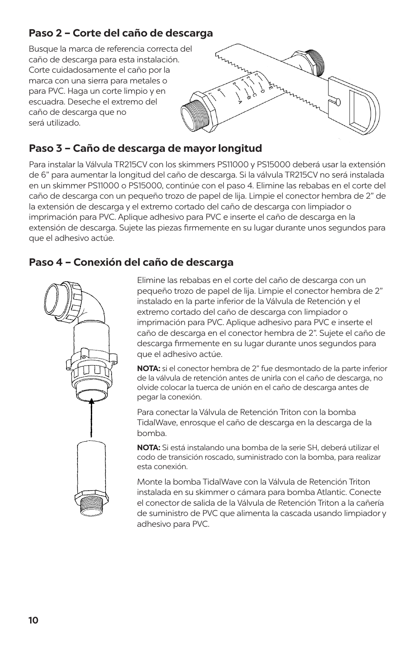## **Paso 2 – Corte del caño de descarga**

Busque la marca de referencia correcta del caño de descarga para esta instalación. Corte cuidadosamente el caño por la marca con una sierra para metales o para PVC. Haga un corte limpio y en escuadra. Deseche el extremo del caño de descarga que no será utilizado.



# **Paso 3 – Caño de descarga de mayor longitud**

Para instalar la Válvula TR215CV con los skimmers PS11000 y PS15000 deberá usar la extensión de 6" para aumentar la longitud del caño de descarga. Si la válvula TR215CV no será instalada en un skimmer PS11000 o PS15000, continúe con el paso 4. Elimine las rebabas en el corte del caño de descarga con un pequeño trozo de papel de lija. Limpie el conector hembra de 2" de la extensión de descarga y el extremo cortado del caño de descarga con limpiador o imprimación para PVC. Aplique adhesivo para PVC e inserte el caño de descarga en la extensión de descarga. Sujete las piezas firmemente en su lugar durante unos segundos para que el adhesivo actúe.

### **Paso 4 – Conexión del caño de descarga**



Elimine las rebabas en el corte del caño de descarga con un pequeño trozo de papel de lija. Limpie el conector hembra de 2" instalado en la parte inferior de la Válvula de Retención y el extremo cortado del caño de descarga con limpiador o imprimación para PVC. Aplique adhesivo para PVC e inserte el caño de descarga en el conector hembra de 2". Sujete el caño de descarga firmemente en su lugar durante unos segundos para que el adhesivo actúe.

**NOTA:** si el conector hembra de 2" fue desmontado de la parte inferior de la válvula de retención antes de unirla con el caño de descarga, no olvide colocar la tuerca de unión en el caño de descarga antes de pegar la conexión.

Para conectar la Válvula de Retención Triton con la bomba TidalWave, enrosque el caño de descarga en la descarga de la bomba.

**NOTA:** Si está instalando una bomba de la serie SH, deberá utilizar el codo de transición roscado, suministrado con la bomba, para realizar esta conexión.

Monte la bomba TidalWave con la Válvula de Retención Triton instalada en su skimmer o cámara para bomba Atlantic. Conecte el conector de salida de la Válvula de Retención Triton a la cañería de suministro de PVC que alimenta la cascada usando limpiador y adhesivo para PVC.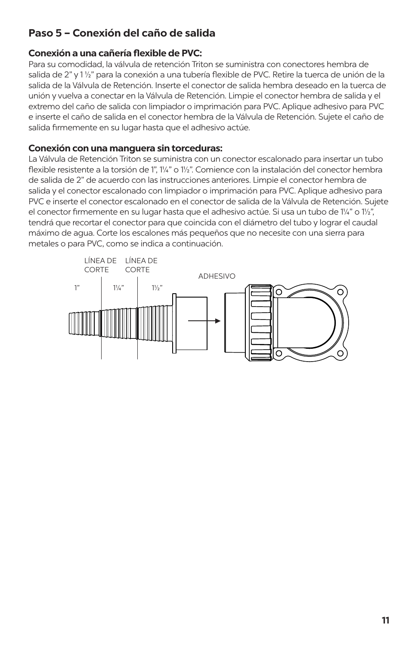### **Paso 5 – Conexión del caño de salida**

#### **Conexión a una cañería flexible de PVC:**

Para su comodidad, la válvula de retención Triton se suministra con conectores hembra de salida de 2" y 1 ½" para la conexión a una tubería flexible de PVC. Retire la tuerca de unión de la salida de la Válvula de Retención. Inserte el conector de salida hembra deseado en la tuerca de unión y vuelva a conectar en la Válvula de Retención. Limpie el conector hembra de salida y el extremo del caño de salida con limpiador o imprimación para PVC. Aplique adhesivo para PVC e inserte el caño de salida en el conector hembra de la Válvula de Retención. Sujete el caño de salida firmemente en su lugar hasta que el adhesivo actúe.

#### **Conexión con una manguera sin torceduras:**

La Válvula de Retención Triton se suministra con un conector escalonado para insertar un tubo flexible resistente a la torsión de 1", 1¼" o 1½". Comience con la instalación del conector hembra de salida de 2" de acuerdo con las instrucciones anteriores. Limpie el conector hembra de salida y el conector escalonado con limpiador o imprimación para PVC. Aplique adhesivo para PVC e inserte el conector escalonado en el conector de salida de la Válvula de Retención. Sujete el conector firmemente en su lugar hasta que el adhesivo actúe. Si usa un tubo de 1¼" o 1½", tendrá que recortar el conector para que coincida con el diámetro del tubo y lograr el caudal máximo de agua. Corte los escalones más pequeños que no necesite con una sierra para metales o para PVC, como se indica a continuación.